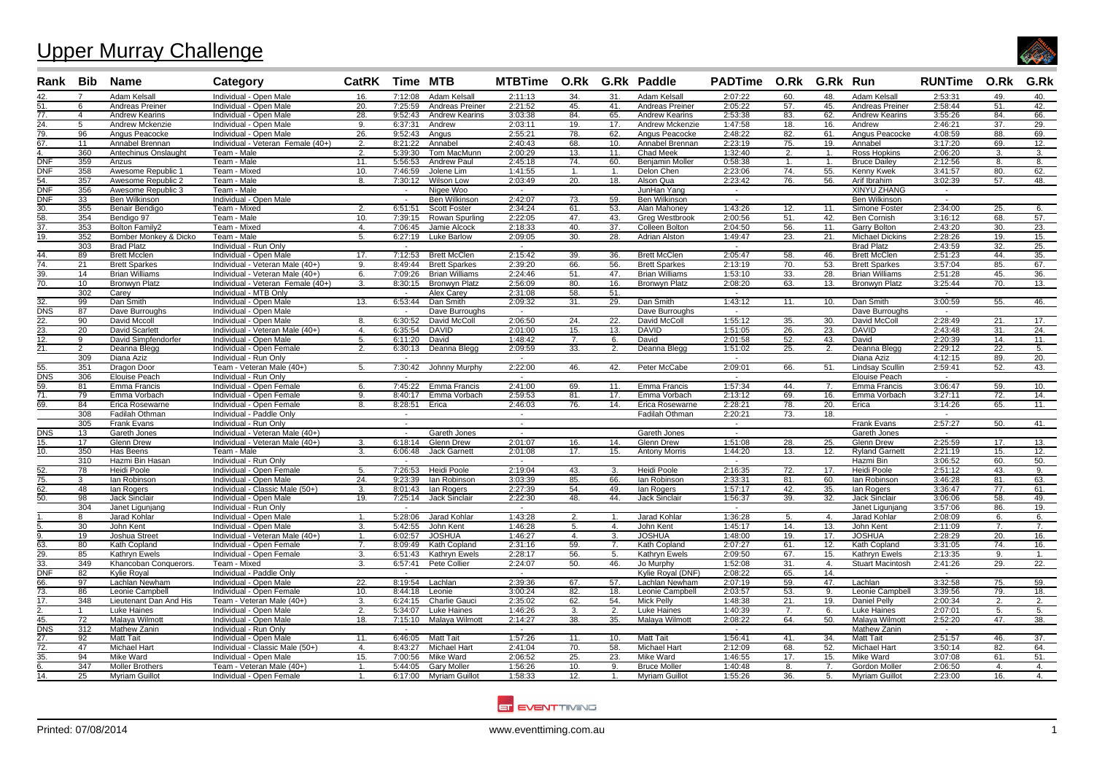## Upper Murray Challenge



| Rank Bib                |                | Name                                  | Category                                                  | CatRK Time MTB     |                    |                              | MTBTime O.Rk G.Rk Paddle |                         |                  |                        | PADTime O.Rk G.Rk Run |            |                |                            | <b>RUNTime O.Rk</b> |                  | G.Rk       |
|-------------------------|----------------|---------------------------------------|-----------------------------------------------------------|--------------------|--------------------|------------------------------|--------------------------|-------------------------|------------------|------------------------|-----------------------|------------|----------------|----------------------------|---------------------|------------------|------------|
| 42.                     | $\overline{7}$ | Adam Kelsall                          | Individual - Open Male                                    | 16.                | 7:12:08            | Adam Kelsall                 | 2:11:13                  | 34.                     | 31.              | Adam Kelsall           | 2:07:22               | 60.        | 48.            | Adam Kelsall               | 2:53:31             | 49.              | 40.        |
| 51.                     | 6              | Andreas Preiner                       | Individual - Open Male                                    | 20.                | 7:25:59            | Andreas Preiner              | 2:21:52                  | 45.                     | 41.              | Andreas Preiner        | 2:05:22               | 57.        | 45.            | Andreas Preiner            | 2:58:44             | 51.              | 42.        |
| 77.                     | $\overline{4}$ | <b>Andrew Kearins</b>                 | Individual - Open Male                                    | 28.                | 9:52:43            | <b>Andrew Kearins</b>        | 3:03:38                  | 84.                     | 65.              | <b>Andrew Kearins</b>  | 2:53:38               | 83.        | 62.            | <b>Andrew Kearins</b>      | 3:55:26             | 84.              | 66.        |
| 24.                     | 5              | <b>Andrew Mckenzie</b>                | Individual - Open Male                                    | 9.                 | 6:37:31            | Andrew                       | 2:03:11                  | 19.                     | 17.              | <b>Andrew Mckenzie</b> | 1:47:58               | 18.        | 16.            | Andrew                     | 2:46:21             | 37.              | 29.        |
| 79.                     | 96             | Angus Peacocke                        | Individual - Open Male                                    | 26.                | 9:52:43            | Angus                        | 2:55:21                  | 78.                     | 62.              | Angus Peacocke         | 2:48:22               | 82.        | 61.            | Angus Peacocke             | 4:08:59             | 88.              | 69.        |
| 67.                     | 11             | Annabel Brennan                       | Individual - Veteran Female (40+)                         | 2.                 | 8:21:22            | Annabel                      | 2:40:43                  | 68.                     | 10.              | Annabel Brennan        | 2:23:19               | 75.        | 19.            | Annabel                    | 3:17:20             | 69.              | 12.        |
|                         | 360            | Antechinus Onslaught                  | Team - Male                                               | $\overline{2}$     | 5:39:30            | Tom MacMunn                  | 2:00:29                  | 13.                     | 11.              | Chad Meek              | 1:32:40               | 2.         | $\mathbf{1}$   | Ross Hopkins               | 2:06:20             | 3.               | 3.         |
| <b>DNF</b>              | 359            | Anzus                                 | Team - Male                                               | 11.                | 5:56:53            | Andrew Paul                  | 2:45:18                  | 74.                     | 60.              | <b>Beniamin Moller</b> | 0:58:38               | 1.         |                | <b>Bruce Dailev</b>        | 2:12:56             | 8.               | 8.         |
| <b>DNF</b>              | 358            | Awesome Republic 1                    | Team - Mixed                                              | 10.                | 7:46:59            | Jolene Lim                   | 1:41:55                  | -1.                     | 1.               | Delon Chen             | 2:23:06               | 74.        | 55.            | Kenny Kwek                 | 3:41:57             | 80.              | 62.        |
| 54.                     | 357            | Awesome Republic 2                    | Team - Male                                               | 8.                 | 7:30:12            | Wilson Low                   | 2:03:49                  | $\overline{20}$ .       | 18.              | Alson Qua              | 2:23:42               | 76.        | 56.            | Arif Ibrahim               | 3:02:39             | 57.              | 48.        |
| DNF                     | 356            | Awesome Republic 3                    | Team - Male                                               |                    | $\sim$             | Nigee Woo                    | $\sim$                   |                         |                  | JunHan Yang            | $\sim$                |            |                | <b>XINYU ZHANG</b>         | $\sim$              |                  |            |
| <b>DNF</b>              | 33             | Ben Wilkinson                         | Individual - Open Male                                    |                    | $\sim$             | <b>Ben Wilkinson</b>         | 2:42:07                  | 73.                     | 59.              | Ben Wilkinson          | $\sim$                |            |                | <b>Ben Wilkinson</b>       | $\sim$              |                  |            |
| 30.                     | 355            | Benair Bendigo                        | Team - Mixed                                              | 2.                 | 6:51:51            | <b>Scott Foster</b>          | 2:34:24                  | 61.                     | 53.              | Alan Mahonev           | 1:43:26               | 12.        | 11.            | Simone Foster              | 2:34:00             | 25.              | 6.         |
| 58.                     | 354            | Bendigo 97                            | Team - Male                                               | 10.                | 7:39:15            | Rowan Spurling               | 2:22:05                  | 47.                     | 43.              | <b>Greg Westbrook</b>  | 2:00:56               | 51.        | 42.            | <b>Ben Cornish</b>         | 3:16:12             | 68.              | 57.        |
| 37.                     | 353            | <b>Bolton Family2</b>                 | Team - Mixed                                              | $\mathbf{4}$       | 7:06:45            | Jamie Alcock                 | 2:18:33                  | 40.                     | 37.              | Colleen Bolton         | 2:04:50               | 56.        | 11.            | <b>Garry Bolton</b>        | 2:43:20             | 30.              | 23.        |
| 19.                     | 352            | Bomber Monkey & Dicko                 | Team - Male                                               | -5.                | 6:27:19            | <b>Luke Barlow</b>           | 2:09:05                  | 30.                     | 28.              | Adrian Alston          | 1:49:47               | 23.        | 21.            | <b>Michael Dickins</b>     | 2:28:26             | 19.              | 15.        |
|                         | 303            | <b>Brad Platz</b>                     | Individual - Run Only                                     |                    |                    |                              | $\overline{a}$           |                         |                  |                        |                       |            |                | <b>Brad Platz</b>          | 2:43:59             | 32.              | 25.        |
| 44.                     | 89             | <b>Brett Mcclen</b>                   | Individual - Open Male                                    | 17.                | 7:12:53            | <b>Brett McClen</b>          | 2:15:42                  | 39.                     | 36.              | <b>Brett McClen</b>    | 2:05:47               | 58.        | 46.            | <b>Brett McClen</b>        | 2:51:23             | 44.              | 35.        |
| $\overline{74.}$        | 21             | <b>Brett Sparkes</b>                  | Individual - Veteran Male (40+)                           | 9.                 | 8:49:44            | <b>Brett Sparkes</b>         | 2:39:20                  | 66.                     | 56.              | <b>Brett Sparkes</b>   | 2:13:19               | 70.        | 53.            | <b>Brett Sparkes</b>       | 3:57:04             | 85.              | 67.        |
| 39.                     | 14             | <b>Brian Williams</b>                 | Individual - Veteran Male (40+                            | 6.                 | 7:09:26            | <b>Brian Williams</b>        | 2:24:46                  | 51.                     | 47.              | <b>Brian Williams</b>  | 1:53:10               | 33.        | 28.            | <b>Brian Williams</b>      | 2:51:28             | 45.              | 36.        |
| 70.                     | 10             | <b>Bronwyn Platz</b>                  | Individual - Veteran Female (40+)                         | 3.                 | 8:30:15            | <b>Bronwyn Platz</b>         | 2:56:09                  | 80.                     | 16.              | <b>Bronwyn Platz</b>   | 2:08:20               | 63.        | 13.            | <b>Bronwyn Platz</b>       | 3:25:44             | 70.              | 13.        |
|                         | 302            | Carev                                 | Individual - MTB Only                                     |                    | $\sim$             | Alex Carev                   | 2:31:08                  | 58.                     | 51.              |                        | $\sim$                |            |                |                            | $\sim$              |                  |            |
| 32.                     | 99             | Dan Smith                             | Individual - Open Male                                    | 13.                | 6:53:44            | Dan Smith                    | 2:09:32                  | 31.                     | 29.              | Dan Smith              | 1:43:12               | 11.        | 10.            | Dan Smith                  | 3:00:59             | 55.              | 46.        |
| DNS                     | 87             | Dave Burroughs                        | Individual - Open Male                                    |                    | $\sim$             | Dave Burroughs               | $\sim$                   |                         |                  | Dave Burroughs         | $\sim$                |            |                | Dave Burroughs             | $\sim$              |                  |            |
| 22.<br>$\overline{23.}$ | 90             | David Mccoll                          | Individual - Open Male                                    | 8.<br>$\mathbf{4}$ | 6:30:52            | David McColl<br><b>DAVID</b> | 2:06:50                  | 24.                     | 22.<br>13.       | David McColl           | 1:55:12               | 35.        | 30.            | David McColl               | 2:28:49             | 21.              | 17.<br>24. |
| $\overline{12}$ .       | 20<br>9        | David Scarlett<br>David Simpfendorfer | Individual - Veteran Male (40+)<br>Individual - Open Male | 5.                 | 6:35:54<br>6:11:20 | David                        | 2:01:00<br>1:48:42       | 15.<br>$\overline{7}$ . | 6.               | <b>DAVID</b><br>David  | 1:51:05<br>2:01:58    | 26.<br>52. | 23.<br>43.     | <b>DAVID</b><br>David      | 2:43:48<br>2:20:39  | 31.<br>14.       | 11.        |
|                         | $\overline{2}$ |                                       |                                                           |                    |                    |                              |                          |                         |                  |                        |                       |            |                |                            |                     |                  |            |
| <u>21.</u>              | 309            | Deanna Blegg<br>Diana Aziz            | Individual - Open Female<br>Individual - Run Only         | $\overline{2}$     | 6:30:13            | Deanna Blegg                 | 2:09:59<br>$\sim$        | 33.                     | 2.               | Deanna Blegg           | 1:51:02<br>$\sim$     | 25.        |                | Deanna Blegg<br>Diana Aziz | 2:29:12<br>4:12:15  | 22.<br>89.       | 5.<br>20.  |
| 55.                     | 351            | Dragon Door                           | Team - Veteran Male (40+)                                 | 5.                 | 7:30:42            | Johnny Murphy                | 2:22:00                  | 46.                     | 42.              | Peter McCabe           | 2:09:01               | 66.        | 51.            | Lindsay Scullin            | 2:59:41             | 52.              | 43.        |
| $\overline{\text{DNS}}$ | 306            | Elouise Peach                         | Individual - Run Only                                     |                    |                    |                              | $\overline{\phantom{a}}$ |                         |                  |                        |                       |            |                | <b>Elouise Peach</b>       | $\sim$              |                  |            |
| 59.                     | -81            | Emma Francis                          | Individual - Open Female                                  | -6.                | 7:45:22            | Emma Francis                 | 2:41:00                  | 69.                     | 11.              | Emma Francis           | 1:57:34               | 44.        | 7              | Emma Francis               | 3:06:47             | 59.              | 10.        |
| 71.                     | 79             | Emma Vorbach                          | Individual - Open Female                                  | -9                 | 8:40:17            | Emma Vorbach                 | 2:59:53                  | 81.                     | 17.              | Emma Vorbach           | 2:13:12               | 69.        | 16.            | Emma Vorbach               | 3:27:11             | 72.              | 14.        |
| 69.                     | 84             | Erica Rosewarne                       | Individual - Open Female                                  | 8.                 | 8:28:51            | Erica                        | 2:46:03                  | 76.                     | 14.              | Erica Rosewarne        | 2:28:21               | 78.        | 20.            | Erica                      | 3:14:26             | 65.              | 11.        |
|                         | 308            | Fadilah Othman                        | Individual - Paddle Only                                  |                    | $\sim$             |                              | $\sim$                   |                         |                  | Fadilah Othman         | 2:20:21               | 73.        | 18.            |                            | $\sim$              |                  |            |
|                         | 305            | <b>Frank Evans</b>                    | Individual - Run Only                                     |                    | $\sim$             |                              | $\sim$                   |                         |                  |                        | $\sim$                |            |                | <b>Frank Evans</b>         | 2:57:27             | 50.              | 41.        |
| $\overline{\text{DNS}}$ | 13             | Gareth Jones                          | Individual - Veteran Male (40+)                           |                    | $\sim$             | Gareth Jones                 | $\overline{\phantom{a}}$ |                         |                  | Gareth Jones           | $\sim$                |            |                | Gareth Jones               | $\sim$              |                  |            |
| $\overline{15}$ .       | 17             | <b>Glenn Drew</b>                     | Individual - Veteran Male (40+)                           | 3.                 | 6:18:14            | <b>Glenn Drew</b>            | 2:01:07                  | 16.                     | 14.              | <b>Glenn Drew</b>      | 1:51:08               | 28.        | 25.            | <b>Glenn Drew</b>          | 2:25:59             | 17.              | 13.        |
| 10.                     | 350            | Has Beens                             | Team - Male                                               | $\mathbf{3}$       | 6:06:48            | <b>Jack Garnett</b>          | 2:01:08                  | 17.                     | 15.              | <b>Antony Morris</b>   | 1:44:20               | 13.        | 12.            | <b>Rvland Garnett</b>      | 2:21:19             | 15.              | 12.        |
|                         | 310            | Hazmi Bin Hasan                       | Individual - Run Only                                     |                    |                    |                              |                          |                         |                  |                        |                       |            |                | Hazmi Bin                  | 3:06:52             | 60.              | 50.        |
| 52.                     | 78             | Heidi Poole                           | Individual - Open Female                                  | 5.                 | 7:26:53            | Heidi Poole                  | 2:19:04                  | 43.                     | 3.               | <b>Heidi Poole</b>     | 2:16:35               | 72.        | 17.            | Heidi Poole                | 2:51:12             | 43.              | 9.         |
| 75.                     | 3              | lan Robinson                          | Individual - Open Male                                    | 24.                | 9:23:39            | lan Robinson                 | 3:03:39                  | 85.                     | 66.              | lan Robinsor           | 2:33:31               | 81.        | 60.            | lan Robinson               | 3:46:28             | 81.              | 63.        |
| $\overline{62}$ .       | 48             | lan Rogers                            | Individual - Classic Male (50+)                           | 3.                 | 8:01:43            | lan Rogers                   | 2:27:39                  | 54.                     | 49.              | lan Rogers             | 1:57:17               | 42.        | 35.            | lan Rogers                 | 3:36:47             | 77.              | 61.        |
| 50.                     | 98             | <b>Jack Sinclair</b>                  | Individual - Open Male                                    | 19.                | 7:25:14            | Jack Sinclair                | 2:22:30                  | 48.                     | 44.              | <b>Jack Sinclair</b>   | 1:56:37               | 39.        | 32.            | <b>Jack Sinclair</b>       | 3:06:06             | 58.              | 49.        |
|                         | 304            | Janet Ligunjang                       | Individual - Run Only                                     |                    |                    |                              |                          |                         |                  |                        | $\sim$                |            |                | Janet Ligunjang            | 3:57:06             | 86.              | 19.        |
|                         | 8              | Jarad Kohlar                          | Individual - Open Male                                    | $\mathbf{1}$ .     | 5:28:06            | Jarad Kohlar                 | 1:43:28                  | 2.                      | $\mathbf{1}$ .   | Jarad Kohlar           | 1:36:28               | 5.         | $\mathbf{4}$   | Jarad Kohlar               | 2:08:09             | 6.               | 6.         |
|                         | 30             | John Kent                             | Individual - Open Male                                    | 3.                 | 5:42:55            | John Kent                    | 1:46:28                  | 5.                      | 4.               | John Kent              | 1:45:17               | 14.        | 13.            | John Kent                  | 2:11:09             | 7.               | 7.         |
|                         | 19             | Joshua Street                         | Individual - Veteran Male (40+)                           | -1.                | 6:02:57            | <b>JOSHUA</b>                | 1:46:27                  | 4.                      | 3.               | <b>JOSHUA</b>          | 1:48:00               | 19.        | 17.            | <b>JOSHUA</b>              | 2:28:29             | 20.              | 16.        |
| 63.                     | 80             | Kath Copland                          | Individual - Open Female                                  | 7 <sub>1</sub>     | 8:09:49            | Kath Copland                 | 2:31:16                  | 59.                     | 7 <sub>1</sub>   | Kath Copland           | 2:07:27               | 61.        | 12.            | Kath Copland               | 3:31:05             | 74.              | 16.        |
| 29.                     | 85             | Kathryn Ewels                         | Individual - Open Female                                  | 3.                 | 6:51:43            | Kathryn Ewels                | 2:28:17                  | 56.                     | 5.               | Kathryn Ewels          | 2:09:50               | 67.        | 15.            | Kathryn Ewels              | 2:13:35             | 9.               | 1.         |
| 33.                     | 349            | Khancoban Conquerors.                 | Team - Mixed                                              | -3.                | 6:57:41            | Pete Collier                 | 2:24:07                  | 50.                     | 46.              | Jo Murphy              | 1:52:08               | 31.        | 4.             | <b>Stuart Macintosh</b>    | 2:41:26             | 29.              | 22.        |
| <b>DNF</b>              | 82             | Kvlie Roval                           | Individual - Paddle Only                                  |                    |                    |                              |                          |                         |                  | Kylie Royal (DNF)      | 2:08:22               | 65.        | 14.            |                            | $\sim$              |                  |            |
| 66.                     | 97             | Lachlan Newham                        | Individual - Open Male                                    | 22.                | 8:19:54            | Lachlan                      | 2:39:36                  | 67.                     | 57.              | Lachlan Newham         | 2:07:19               | 59.        | 47.            | Lachlan                    | 3:32:58             | 75.              | 59.        |
| 73.                     | 86             | Leonie Campbell                       | Individual - Open Female                                  | 10.                | 8:44:18            | Leonie                       | 3:00:24                  | 82.                     | 18.              | Leonie Campbell        | 2:03:57               | 53.        | 9.             | Leonie Campbell            | 3:39:56             | 79.              | 18.        |
| 17.                     | 348            | Lieutenant Dan And His                | Team - Veteran Male (40+)                                 | 3.                 | 6:24:15            | <b>Charlie Gauci</b>         | 2:35:02                  | 62.                     | 54.              | <b>Mick Pelly</b>      | 1:48:38               | 21.        | 19.            | Daniel Pelly               | 2:00:34             | 2.               | 2.         |
|                         |                | Luke Haines                           | Individual - Open Male                                    | 2.                 | 5:34:07            | <b>Luke Haines</b>           | 1:46:26                  | 3.                      | $\overline{2}$ . | <b>Luke Haines</b>     | 1:40:39               | 7.         | 6.             | <b>Luke Haines</b>         | 2:07:01             | 5.               | 5.         |
| 45.                     | 72             | Malaya Wilmott                        | Individual - Open Male                                    | 18.                | 7:15:10            | Malaya Wilmott               | 2:14:27                  | 38.                     | 35.              | Malaya Wilmott         | 2:08:22               | 64.        | 50.            | Malaya Wilmott             | 2:52:20             | 47.              | 38.        |
| DNS                     | 312            | Mathew Zanin                          | Individual - Run Only                                     |                    | $\sim$             |                              | $\overline{\phantom{a}}$ |                         |                  |                        | $\sim$                |            |                | Mathew Zanin               | $\sim$              |                  |            |
| 27.                     | 92             | <b>Matt Tait</b>                      | Individual - Open Male                                    | 11.                | 6:46:05            | <b>Matt Tait</b>             | 1:57:26                  | 11.                     | 10.              | <b>Matt Tait</b>       | 1:56:41               | 41.        | 34.            | <b>Matt Tait</b>           | 2:51:57             | 46.              | 37.        |
| 72.                     | 47             | <b>Michael Hart</b>                   | Individual - Classic Male (50+)                           | $\overline{4}$     | 8:43:27            | <b>Michael Hart</b>          | 2:41:04                  | 70.                     | 58.              | <b>Michael Hart</b>    | 2:12:09               | 68.        | 52.            | <b>Michael Hart</b>        | 3:50:14             | 82.              | 64.        |
| 35.                     | 94             | Mike Ward                             | Individual - Open Male                                    | 15.                | 7:00:56            | <b>Mike Ward</b>             | 2:06:52                  | 25.                     | 23.              | <b>Mike Ward</b>       | 1:46:55               | 17.        | 15.            | <b>Mike Ward</b>           | 3:07:08             | 61.              | 51.        |
|                         | 347            | <b>Moller Brothers</b>                | Team - Veteran Male (40+)                                 | $\mathbf{1}$       | 5:44:05            | <b>Gary Moller</b>           | 1:56:26                  | 10.                     | 9.               | <b>Bruce Moller</b>    | 1:40:48               | 8.         | 7 <sub>1</sub> | Gordon Moller              | 2:06:50             | $\overline{4}$ . | 4.         |
| 14.                     | 25             | <b>Myriam Guillot</b>                 | Individual - Open Female                                  |                    | 6:17:00            | Myriam Guillot               | 1:58:33                  | 12.                     |                  | <b>Myriam Guillot</b>  | 1:55:26               | 36.        | 5.             | <b>Myriam Guillot</b>      | 2:23:00             | 16.              |            |